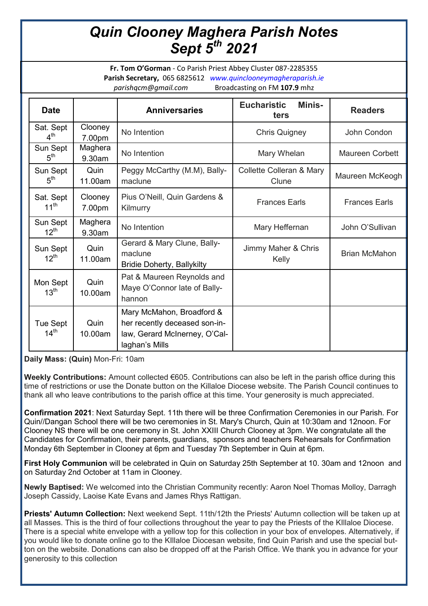## *Quin Clooney Maghera Parish Notes Sept 5th 2021*

**Fr. Tom O'Gorman** - Co Parish Priest Abbey Cluster 087-2285355 **Parish Secretary,** 065 6825612 *www.quinclooneymagheraparish.ie parishqcm@gmail.com* Broadcasting on FM **107.9** mhz

| <b>Date</b>                  |                   | <b>Anniversaries</b>                                                                                          | <b>Eucharistic</b><br><b>Minis-</b><br>ters | <b>Readers</b>         |
|------------------------------|-------------------|---------------------------------------------------------------------------------------------------------------|---------------------------------------------|------------------------|
| Sat. Sept<br>$4^{\text{th}}$ | Clooney<br>7.00pm | No Intention                                                                                                  | <b>Chris Quigney</b>                        | John Condon            |
| Sun Sept<br>5 <sup>th</sup>  | Maghera<br>9.30am | No Intention                                                                                                  | Mary Whelan                                 | <b>Maureen Corbett</b> |
| Sun Sept<br>5 <sup>th</sup>  | Quin<br>11.00am   | Peggy McCarthy (M.M), Bally-<br>maclune                                                                       | Collette Colleran & Mary<br>Clune           | Maureen McKeogh        |
| Sat. Sept<br>$11^{th}$       | Clooney<br>7.00pm | Pius O'Neill, Quin Gardens &<br>Kilmurry                                                                      | <b>Frances Earls</b>                        | <b>Frances Earls</b>   |
| Sun Sept<br>$12^{th}$        | Maghera<br>9.30am | No Intention                                                                                                  | Mary Heffernan                              | John O'Sullivan        |
| Sun Sept<br>$12^{th}$        | Quin<br>11.00am   | Gerard & Mary Clune, Bally-<br>maclune<br><b>Bridie Doherty, Ballykilty</b>                                   | Jimmy Maher & Chris<br>Kelly                | <b>Brian McMahon</b>   |
| Mon Sept<br>13 <sup>th</sup> | Quin<br>10.00am   | Pat & Maureen Reynolds and<br>Maye O'Connor late of Bally-<br>hannon                                          |                                             |                        |
| Tue Sept<br>14 <sup>th</sup> | Quin<br>10.00am   | Mary McMahon, Broadford &<br>her recently deceased son-in-<br>law, Gerard McInerney, O'Cal-<br>laghan's Mills |                                             |                        |

**Daily Mass: (Quin)** Mon-Fri: 10am

**Weekly Contributions:** Amount collected €605. Contributions can also be left in the parish office during this time of restrictions or use the Donate button on the Killaloe Diocese website. The Parish Council continues to thank all who leave contributions to the parish office at this time. Your generosity is much appreciated.

**Confirmation 2021**: Next Saturday Sept. 11th there will be three Confirmation Ceremonies in our Parish. For Quin//Dangan School there will be two ceremonies in St. Mary's Church, Quin at 10:30am and 12noon. For Clooney NS there will be one ceremony in St. John XXIII Church Clooney at 3pm. We congratulate all the Candidates for Confirmation, their parents, guardians, sponsors and teachers Rehearsals for Confirmation Monday 6th September in Clooney at 6pm and Tuesday 7th September in Quin at 6pm.

**First Holy Communion** will be celebrated in Quin on Saturday 25th September at 10. 30am and 12noon and on Saturday 2nd October at 11am in Clooney.

**Newly Baptised:** We welcomed into the Christian Community recently: Aaron Noel Thomas Molloy, Darragh Joseph Cassidy, Laoise Kate Evans and James Rhys Rattigan.

**Priests' Autumn Collection:** Next weekend Sept. 11th/12th the Priests' Autumn collection will be taken up at all Masses. This is the third of four collections throughout the year to pay the Priests of the KIllaloe Diocese. There is a special white envelope with a yellow top for this collection in your box of envelopes. Alternatively, if you would like to donate online go to the KIllaloe Diocesan website, find Quin Parish and use the special button on the website. Donations can also be dropped off at the Parish Office. We thank you in advance for your generosity to this collection